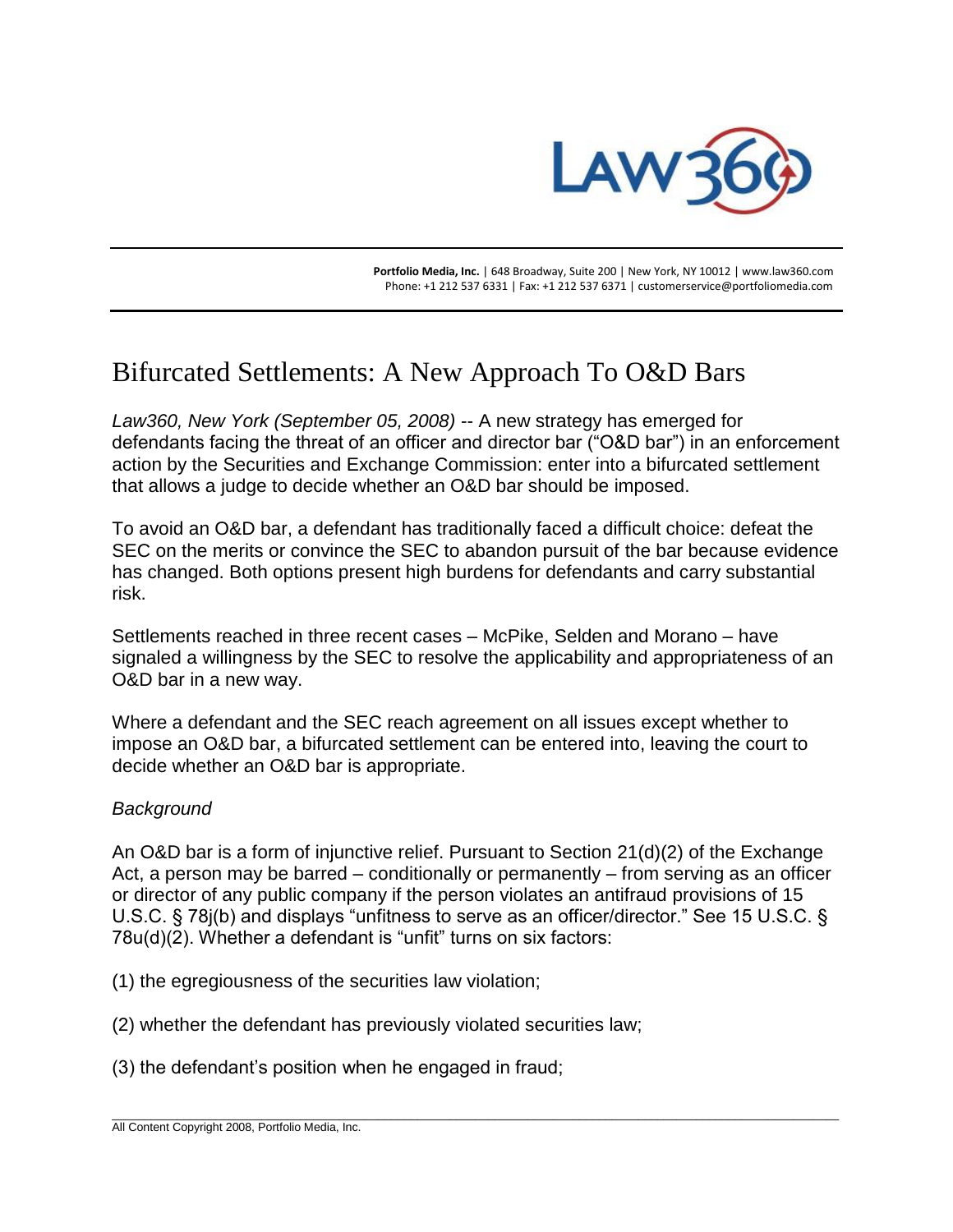

 **Portfolio Media, Inc.** | 648 Broadway, Suite 200 | New York, NY 10012 | www.law360.com Phone: +1 212 537 6331 | Fax: +1 212 537 6371 | customerservice@portfoliomedia.com

# Bifurcated Settlements: A New Approach To O&D Bars

*Law360, New York (September 05, 2008)* -- A new strategy has emerged for defendants facing the threat of an officer and director bar ("O&D bar") in an enforcement action by the Securities and Exchange Commission: enter into a bifurcated settlement that allows a judge to decide whether an O&D bar should be imposed.

To avoid an O&D bar, a defendant has traditionally faced a difficult choice: defeat the SEC on the merits or convince the SEC to abandon pursuit of the bar because evidence has changed. Both options present high burdens for defendants and carry substantial risk.

Settlements reached in three recent cases – McPike, Selden and Morano – have signaled a willingness by the SEC to resolve the applicability and appropriateness of an O&D bar in a new way.

Where a defendant and the SEC reach agreement on all issues except whether to impose an O&D bar, a bifurcated settlement can be entered into, leaving the court to decide whether an O&D bar is appropriate.

### *Background*

An O&D bar is a form of injunctive relief. Pursuant to Section 21(d)(2) of the Exchange Act, a person may be barred – conditionally or permanently – from serving as an officer or director of any public company if the person violates an antifraud provisions of 15 U.S.C. § 78j(b) and displays "unfitness to serve as an officer/director." See 15 U.S.C. § 78u(d)(2). Whether a defendant is "unfit" turns on six factors:

\_\_\_\_\_\_\_\_\_\_\_\_\_\_\_\_\_\_\_\_\_\_\_\_\_\_\_\_\_\_\_\_\_\_\_\_\_\_\_\_\_\_\_\_\_\_\_\_\_\_\_\_\_\_\_\_\_\_\_\_\_\_\_\_\_\_\_\_\_\_\_\_\_\_\_\_\_\_\_\_\_\_\_\_\_\_\_\_\_\_\_\_\_\_\_\_\_\_\_\_\_\_\_\_\_\_\_\_\_\_\_\_

- (1) the egregiousness of the securities law violation;
- (2) whether the defendant has previously violated securities law;
- (3) the defendant's position when he engaged in fraud;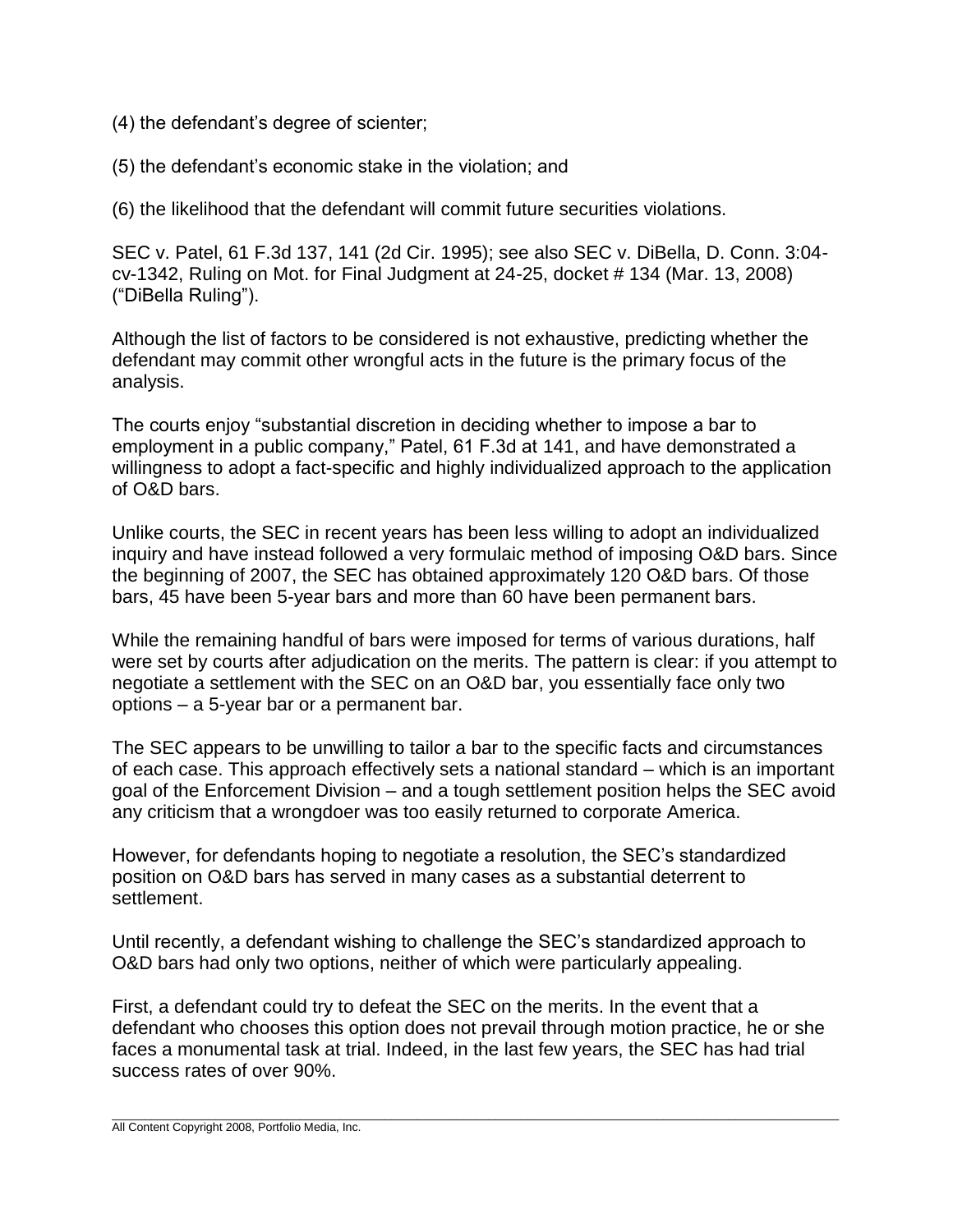- (4) the defendant's degree of scienter;
- (5) the defendant's economic stake in the violation; and

(6) the likelihood that the defendant will commit future securities violations.

SEC v. Patel, 61 F.3d 137, 141 (2d Cir. 1995); see also SEC v. DiBella, D. Conn. 3:04 cv-1342, Ruling on Mot. for Final Judgment at 24-25, docket # 134 (Mar. 13, 2008) ("DiBella Ruling").

Although the list of factors to be considered is not exhaustive, predicting whether the defendant may commit other wrongful acts in the future is the primary focus of the analysis.

The courts enjoy "substantial discretion in deciding whether to impose a bar to employment in a public company," Patel, 61 F.3d at 141, and have demonstrated a willingness to adopt a fact-specific and highly individualized approach to the application of O&D bars.

Unlike courts, the SEC in recent years has been less willing to adopt an individualized inquiry and have instead followed a very formulaic method of imposing O&D bars. Since the beginning of 2007, the SEC has obtained approximately 120 O&D bars. Of those bars, 45 have been 5-year bars and more than 60 have been permanent bars.

While the remaining handful of bars were imposed for terms of various durations, half were set by courts after adjudication on the merits. The pattern is clear: if you attempt to negotiate a settlement with the SEC on an O&D bar, you essentially face only two options – a 5-year bar or a permanent bar.

The SEC appears to be unwilling to tailor a bar to the specific facts and circumstances of each case. This approach effectively sets a national standard – which is an important goal of the Enforcement Division – and a tough settlement position helps the SEC avoid any criticism that a wrongdoer was too easily returned to corporate America.

However, for defendants hoping to negotiate a resolution, the SEC's standardized position on O&D bars has served in many cases as a substantial deterrent to settlement.

Until recently, a defendant wishing to challenge the SEC's standardized approach to O&D bars had only two options, neither of which were particularly appealing.

First, a defendant could try to defeat the SEC on the merits. In the event that a defendant who chooses this option does not prevail through motion practice, he or she faces a monumental task at trial. Indeed, in the last few years, the SEC has had trial success rates of over 90%.

\_\_\_\_\_\_\_\_\_\_\_\_\_\_\_\_\_\_\_\_\_\_\_\_\_\_\_\_\_\_\_\_\_\_\_\_\_\_\_\_\_\_\_\_\_\_\_\_\_\_\_\_\_\_\_\_\_\_\_\_\_\_\_\_\_\_\_\_\_\_\_\_\_\_\_\_\_\_\_\_\_\_\_\_\_\_\_\_\_\_\_\_\_\_\_\_\_\_\_\_\_\_\_\_\_\_\_\_\_\_\_\_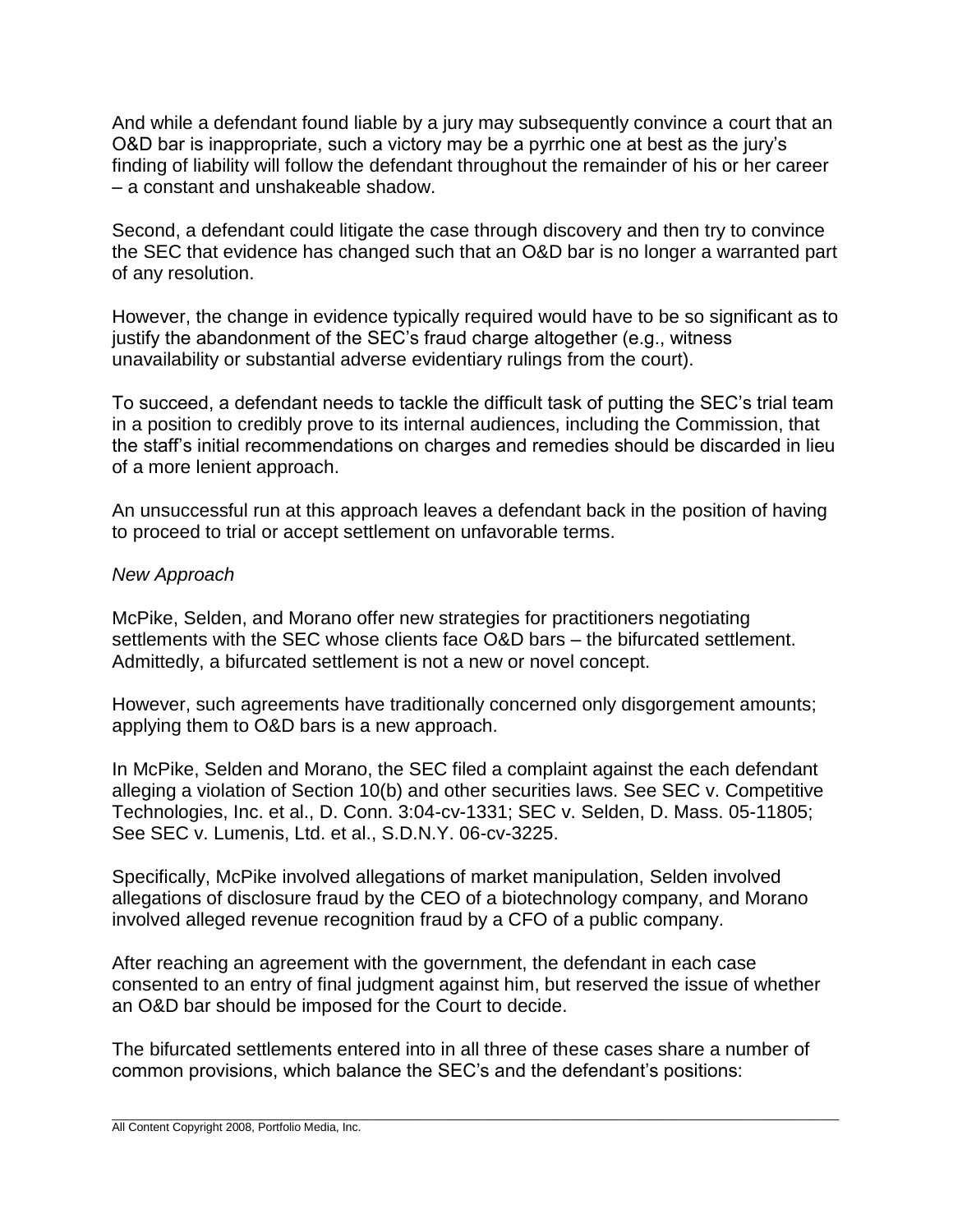And while a defendant found liable by a jury may subsequently convince a court that an O&D bar is inappropriate, such a victory may be a pyrrhic one at best as the jury's finding of liability will follow the defendant throughout the remainder of his or her career – a constant and unshakeable shadow.

Second, a defendant could litigate the case through discovery and then try to convince the SEC that evidence has changed such that an O&D bar is no longer a warranted part of any resolution.

However, the change in evidence typically required would have to be so significant as to justify the abandonment of the SEC's fraud charge altogether (e.g., witness unavailability or substantial adverse evidentiary rulings from the court).

To succeed, a defendant needs to tackle the difficult task of putting the SEC's trial team in a position to credibly prove to its internal audiences, including the Commission, that the staff's initial recommendations on charges and remedies should be discarded in lieu of a more lenient approach.

An unsuccessful run at this approach leaves a defendant back in the position of having to proceed to trial or accept settlement on unfavorable terms.

# *New Approach*

McPike, Selden, and Morano offer new strategies for practitioners negotiating settlements with the SEC whose clients face O&D bars – the bifurcated settlement. Admittedly, a bifurcated settlement is not a new or novel concept.

However, such agreements have traditionally concerned only disgorgement amounts; applying them to O&D bars is a new approach.

In McPike, Selden and Morano, the SEC filed a complaint against the each defendant alleging a violation of Section 10(b) and other securities laws. See SEC v. Competitive Technologies, Inc. et al., D. Conn. 3:04-cv-1331; SEC v. Selden, D. Mass. 05-11805; See SEC v. Lumenis, Ltd. et al., S.D.N.Y. 06-cv-3225.

Specifically, McPike involved allegations of market manipulation, Selden involved allegations of disclosure fraud by the CEO of a biotechnology company, and Morano involved alleged revenue recognition fraud by a CFO of a public company.

After reaching an agreement with the government, the defendant in each case consented to an entry of final judgment against him, but reserved the issue of whether an O&D bar should be imposed for the Court to decide.

The bifurcated settlements entered into in all three of these cases share a number of common provisions, which balance the SEC's and the defendant's positions: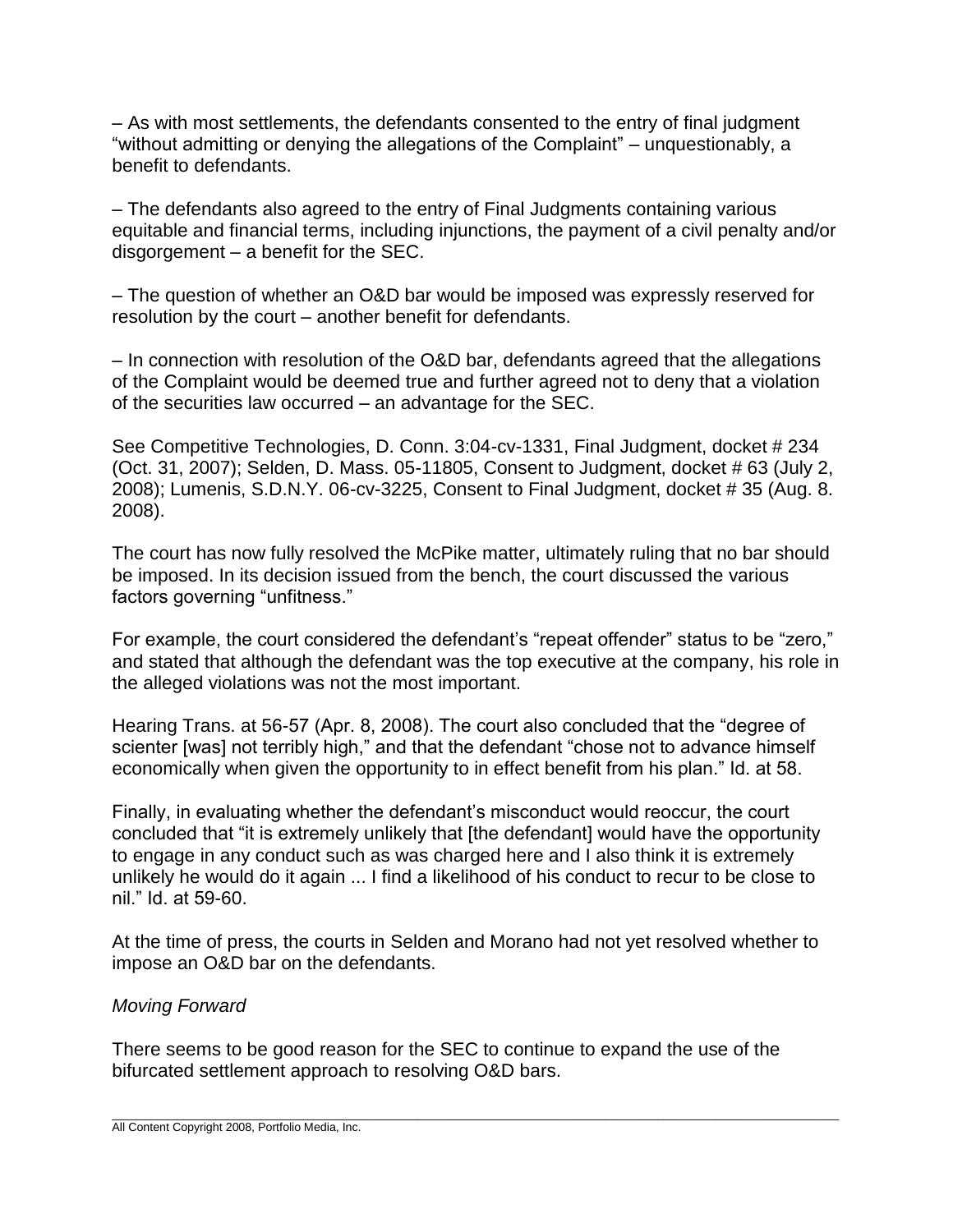– As with most settlements, the defendants consented to the entry of final judgment "without admitting or denying the allegations of the Complaint" – unquestionably, a benefit to defendants.

– The defendants also agreed to the entry of Final Judgments containing various equitable and financial terms, including injunctions, the payment of a civil penalty and/or disgorgement – a benefit for the SEC.

– The question of whether an O&D bar would be imposed was expressly reserved for resolution by the court – another benefit for defendants.

– In connection with resolution of the O&D bar, defendants agreed that the allegations of the Complaint would be deemed true and further agreed not to deny that a violation of the securities law occurred – an advantage for the SEC.

See Competitive Technologies, D. Conn. 3:04-cv-1331, Final Judgment, docket # 234 (Oct. 31, 2007); Selden, D. Mass. 05-11805, Consent to Judgment, docket # 63 (July 2, 2008); Lumenis, S.D.N.Y. 06-cv-3225, Consent to Final Judgment, docket # 35 (Aug. 8. 2008).

The court has now fully resolved the McPike matter, ultimately ruling that no bar should be imposed. In its decision issued from the bench, the court discussed the various factors governing "unfitness."

For example, the court considered the defendant's "repeat offender" status to be "zero," and stated that although the defendant was the top executive at the company, his role in the alleged violations was not the most important.

Hearing Trans. at 56-57 (Apr. 8, 2008). The court also concluded that the "degree of scienter [was] not terribly high," and that the defendant "chose not to advance himself economically when given the opportunity to in effect benefit from his plan." Id. at 58.

Finally, in evaluating whether the defendant's misconduct would reoccur, the court concluded that "it is extremely unlikely that [the defendant] would have the opportunity to engage in any conduct such as was charged here and I also think it is extremely unlikely he would do it again ... I find a likelihood of his conduct to recur to be close to nil." Id. at 59-60.

At the time of press, the courts in Selden and Morano had not yet resolved whether to impose an O&D bar on the defendants.

### *Moving Forward*

There seems to be good reason for the SEC to continue to expand the use of the bifurcated settlement approach to resolving O&D bars.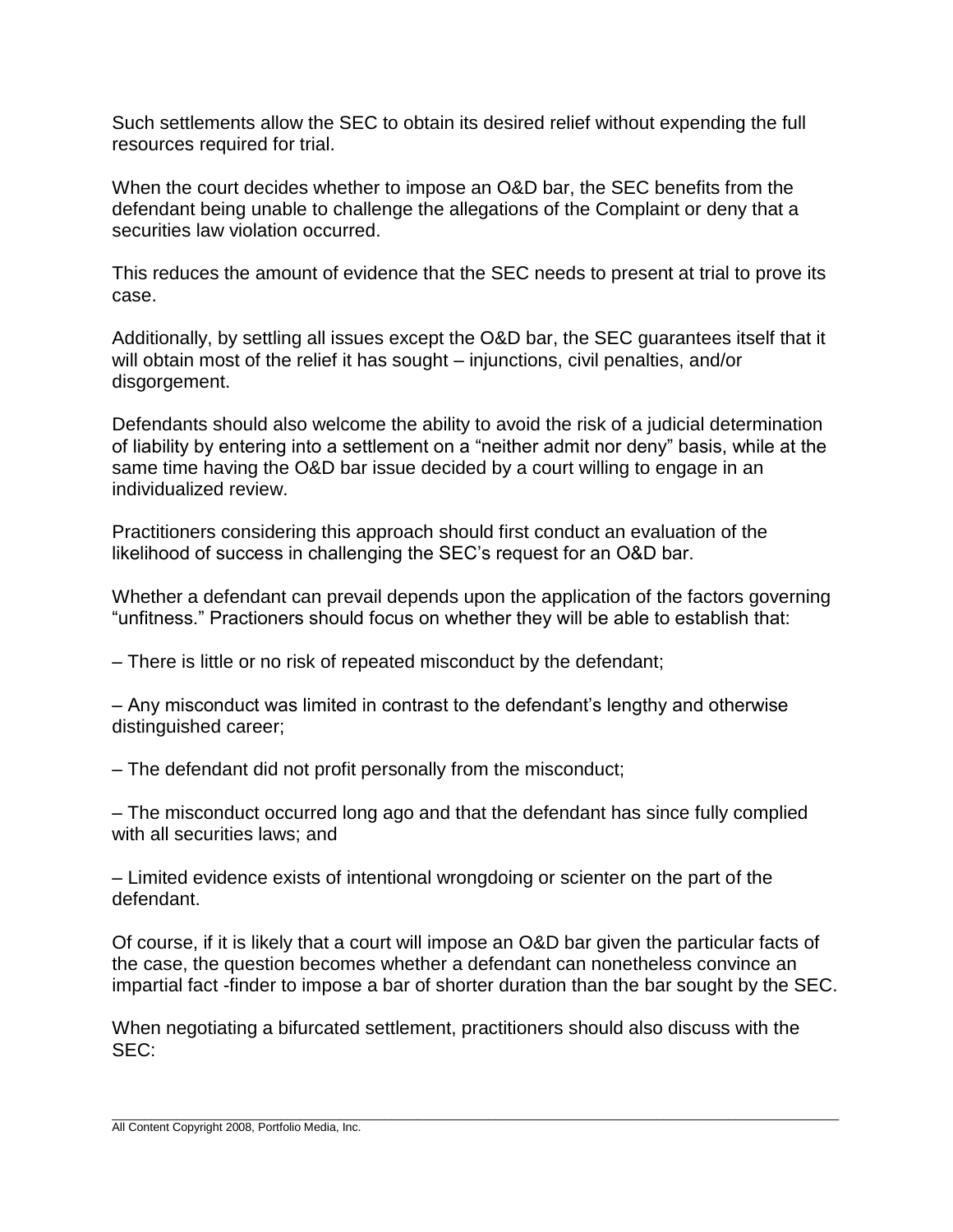Such settlements allow the SEC to obtain its desired relief without expending the full resources required for trial.

When the court decides whether to impose an O&D bar, the SEC benefits from the defendant being unable to challenge the allegations of the Complaint or deny that a securities law violation occurred.

This reduces the amount of evidence that the SEC needs to present at trial to prove its case.

Additionally, by settling all issues except the O&D bar, the SEC guarantees itself that it will obtain most of the relief it has sought – injunctions, civil penalties, and/or disgorgement.

Defendants should also welcome the ability to avoid the risk of a judicial determination of liability by entering into a settlement on a "neither admit nor deny" basis, while at the same time having the O&D bar issue decided by a court willing to engage in an individualized review.

Practitioners considering this approach should first conduct an evaluation of the likelihood of success in challenging the SEC's request for an O&D bar.

Whether a defendant can prevail depends upon the application of the factors governing "unfitness." Practioners should focus on whether they will be able to establish that:

– There is little or no risk of repeated misconduct by the defendant;

– Any misconduct was limited in contrast to the defendant's lengthy and otherwise distinguished career;

– The defendant did not profit personally from the misconduct;

– The misconduct occurred long ago and that the defendant has since fully complied with all securities laws; and

– Limited evidence exists of intentional wrongdoing or scienter on the part of the defendant.

Of course, if it is likely that a court will impose an O&D bar given the particular facts of the case, the question becomes whether a defendant can nonetheless convince an impartial fact -finder to impose a bar of shorter duration than the bar sought by the SEC.

When negotiating a bifurcated settlement, practitioners should also discuss with the SEC: